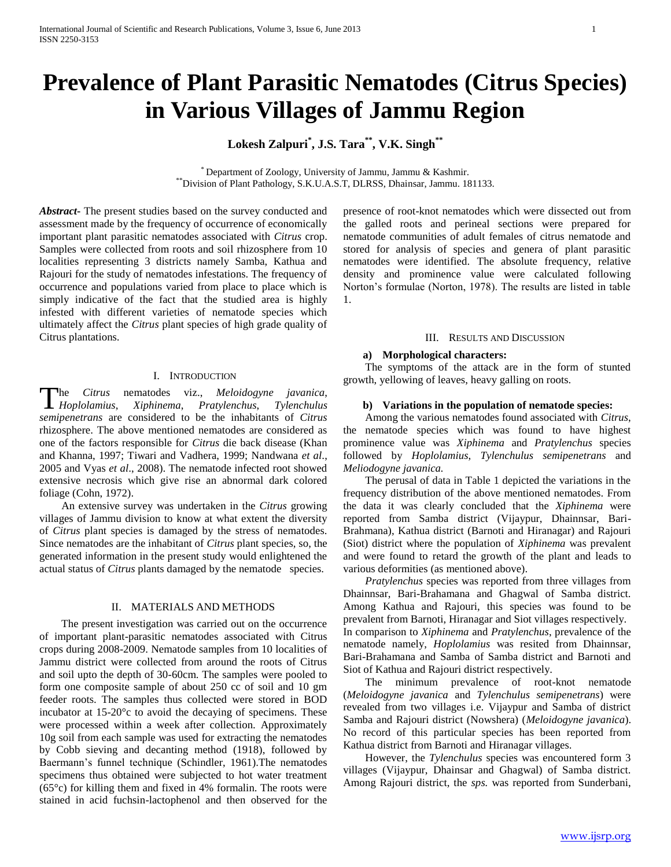# **Prevalence of Plant Parasitic Nematodes (Citrus Species) in Various Villages of Jammu Region**

**Lokesh Zalpuri\* , J.S. Tara\*\* , V.K. Singh\*\***

\* Department of Zoology, University of Jammu, Jammu & Kashmir. \*\*Division of Plant Pathology, S.K.U.A.S.T, DLRSS, Dhainsar, Jammu. 181133.

*Abstract***-** The present studies based on the survey conducted and assessment made by the frequency of occurrence of economically important plant parasitic nematodes associated with *Citrus* crop. Samples were collected from roots and soil rhizosphere from 10 localities representing 3 districts namely Samba, Kathua and Rajouri for the study of nematodes infestations. The frequency of occurrence and populations varied from place to place which is simply indicative of the fact that the studied area is highly infested with different varieties of nematode species which ultimately affect the *Citrus* plant species of high grade quality of Citrus plantations.

#### I. INTRODUCTION

he *Citrus* nematodes viz., *Meloidogyne javanica*, *Hoplolamius*, *Xiphinema*, *Pratylenchus*, *Tylenchulus* T*semipenetrans* are considered to be the inhabitants of *Citrus*  rhizosphere. The above mentioned nematodes are considered as one of the factors responsible for *Citrus* die back disease (Khan and Khanna, 1997; Tiwari and Vadhera, 1999; Nandwana *et al*., 2005 and Vyas *et al*., 2008). The nematode infected root showed extensive necrosis which give rise an abnormal dark colored foliage (Cohn, 1972).

 An extensive survey was undertaken in the *Citrus* growing villages of Jammu division to know at what extent the diversity of *Citrus* plant species is damaged by the stress of nematodes. Since nematodes are the inhabitant of *Citrus* plant species, so, the generated information in the present study would enlightened the actual status of *Citrus* plants damaged by the nematode species.

#### II. MATERIALS AND METHODS

 The present investigation was carried out on the occurrence of important plant-parasitic nematodes associated with Citrus crops during 2008-2009. Nematode samples from 10 localities of Jammu district were collected from around the roots of Citrus and soil upto the depth of 30-60cm. The samples were pooled to form one composite sample of about 250 cc of soil and 10 gm feeder roots. The samples thus collected were stored in BOD incubator at 15-20°c to avoid the decaying of specimens. These were processed within a week after collection. Approximately 10g soil from each sample was used for extracting the nematodes by Cobb sieving and decanting method (1918), followed by Baermann's funnel technique (Schindler, 1961).The nematodes specimens thus obtained were subjected to hot water treatment (65°c) for killing them and fixed in 4% formalin. The roots were stained in acid fuchsin-lactophenol and then observed for the

presence of root-knot nematodes which were dissected out from the galled roots and perineal sections were prepared for nematode communities of adult females of citrus nematode and stored for analysis of species and genera of plant parasitic nematodes were identified. The absolute frequency, relative density and prominence value were calculated following Norton's formulae (Norton, 1978). The results are listed in table 1.

#### III. RESULTS AND DISCUSSION

#### **a) Morphological characters:**

 The symptoms of the attack are in the form of stunted growth, yellowing of leaves, heavy galling on roots.

#### **b) Variations in the population of nematode species:**

 Among the various nematodes found associated with *Citrus*, the nematode species which was found to have highest prominence value was *Xiphinema* and *Pratylenchus* species followed by *Hoplolamius*, *Tylenchulus semipenetrans* and *Meliodogyne javanica.*

 The perusal of data in Table 1 depicted the variations in the frequency distribution of the above mentioned nematodes. From the data it was clearly concluded that the *Xiphinema* were reported from Samba district (Vijaypur, Dhainnsar, Bari-Brahmana), Kathua district (Barnoti and Hiranagar) and Rajouri (Siot) district where the population of *Xiphinema* was prevalent and were found to retard the growth of the plant and leads to various deformities (as mentioned above).

 *Pratylenchus* species was reported from three villages from Dhainnsar, Bari-Brahamana and Ghagwal of Samba district. Among Kathua and Rajouri, this species was found to be prevalent from Barnoti, Hiranagar and Siot villages respectively. In comparison to *Xiphinema* and *Pratylenchus*, prevalence of the nematode namely, *Hoplolamius* was resited from Dhainnsar, Bari-Brahamana and Samba of Samba district and Barnoti and Siot of Kathua and Rajouri district respectively.

 The minimum prevalence of root-knot nematode (*Meloidogyne javanica* and *Tylenchulus semipenetrans*) were revealed from two villages i.e. Vijaypur and Samba of district Samba and Rajouri district (Nowshera) (*Meloidogyne javanica*). No record of this particular species has been reported from Kathua district from Barnoti and Hiranagar villages.

 However, the *Tylenchulus* species was encountered form 3 villages (Vijaypur, Dhainsar and Ghagwal) of Samba district. Among Rajouri district, the *sps.* was reported from Sunderbani,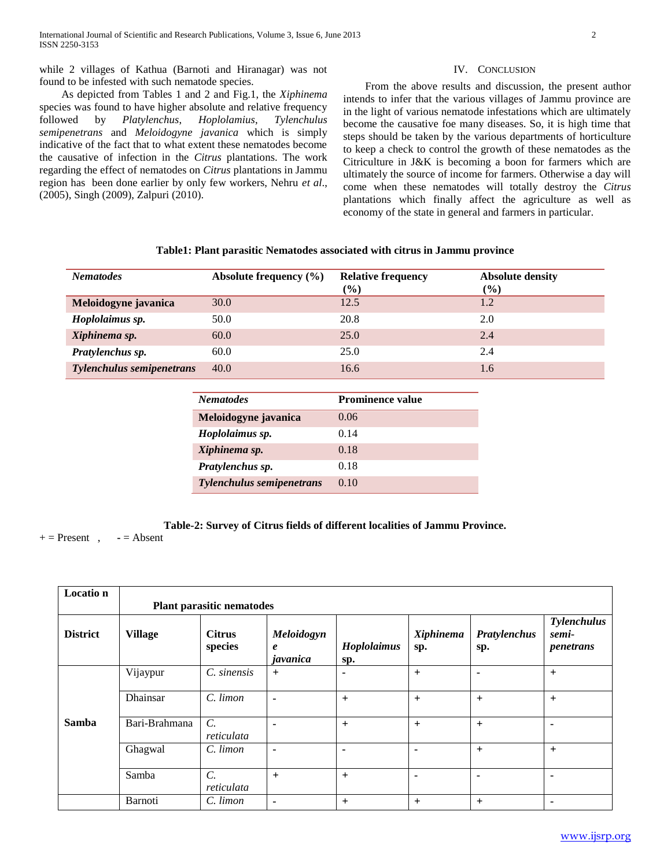while 2 villages of Kathua (Barnoti and Hiranagar) was not

found to be infested with such nematode species. As depicted from Tables 1 and 2 and Fig.1, the *Xiphinema*  species was found to have higher absolute and relative frequency followed by *Platylenchus*, *Hoplolamius*, *Tylenchulus semipenetrans* and *Meloidogyne javanica* which is simply indicative of the fact that to what extent these nematodes become the causative of infection in the *Citrus* plantations. The work regarding the effect of nematodes on *Citrus* plantations in Jammu region has been done earlier by only few workers, Nehru *et al*., (2005), Singh (2009), Zalpuri (2010).

 $\overline{a}$ 

## From the above results and discussion, the present author intends to infer that the various villages of Jammu province are in the light of various nematode infestations which are ultimately become the causative foe many diseases. So, it is high time that steps should be taken by the various departments of horticulture to keep a check to control the growth of these nematodes as the Citriculture in J&K is becoming a boon for farmers which are ultimately the source of income for farmers. Otherwise a day will come when these nematodes will totally destroy the *Citrus* plantations which finally affect the agriculture as well as

economy of the state in general and farmers in particular.

IV. CONCLUSION

| <b>Nematodes</b>                 | Absolute frequency (%) | <b>Relative frequency</b> | <b>Absolute density</b> |
|----------------------------------|------------------------|---------------------------|-------------------------|
|                                  |                        | $\frac{6}{6}$             | $\frac{6}{6}$           |
| Meloidogyne javanica             | 30.0                   | 12.5                      | 1.2                     |
| Hoplolaimus sp.                  | 50.0                   | 20.8                      | 2.0                     |
| Xiphinema sp.                    | 60.0                   | 25.0                      | 2.4                     |
| Pratylenchus sp.                 | 60.0                   | 25.0                      | 2.4                     |
| <b>Tylenchulus semipenetrans</b> | 40.0                   | 16.6                      | 1.6                     |

| Table1: Plant parasitic Nematodes associated with citrus in Jammu province |  |  |  |  |  |  |  |  |
|----------------------------------------------------------------------------|--|--|--|--|--|--|--|--|
|----------------------------------------------------------------------------|--|--|--|--|--|--|--|--|

| <b>Prominence value</b><br><b>Nematodes</b> |      |  |
|---------------------------------------------|------|--|
|                                             |      |  |
| Meloidogyne javanica                        | 0.06 |  |
| 0.14<br>Hoplolaimus sp.                     |      |  |
| 0.18<br>Xiphinema sp.                       |      |  |
| Pratylenchus sp.<br>0.18                    |      |  |
| <b>Tylenchulus semipenetrans</b><br>0.10    |      |  |

 $+=$  Present ,  $\qquad$  =  $=$  Absent

**Table-2: Survey of Citrus fields of different localities of Jammu Province.**

**Locatio n Plant parasitic nematodes District Village Citrus species** *Meloidogyn e javanica Hoplolaimus*  **sp.** *Xiphinema*  **sp.** *Pratylenchus*  **sp.** *Tylenchulus semipenetrans* **Samba** Vijaypur *C. sinensis* **+ - + - +** Dhainsar *C. limon* **- + + + +** Bari-Brahmana *C. reticulata* **- + + + -** Ghagwal *C. limon* **- - - + +** Samba *C. reticulata* **+ + - - -** Barnoti *C. limon* **- + + + -**